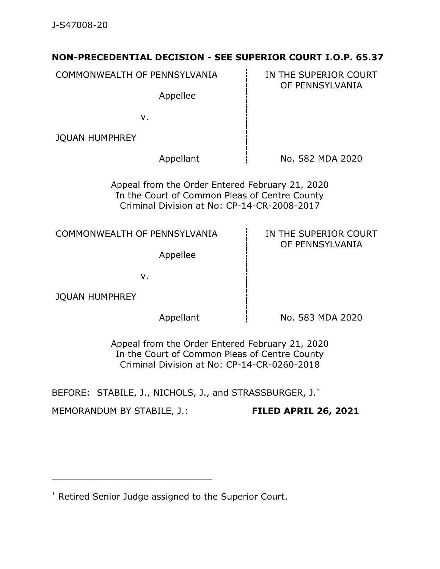## **NON-PRECEDENTIAL DECISION - SEE SUPERIOR COURT I.O.P. 65.37**

COMMONWEALTH OF PENNSYLVANIA  $\qquad \qquad$  IN THE SUPERIOR COURT OF PENNSYLVANIA Appellee v. JQUAN HUMPHREY Appellant  $\frac{1}{2}$  No. 582 MDA 2020 Appeal from the Order Entered February 21, 2020 In the Court of Common Pleas of Centre County Criminal Division at No: CP-14-CR-2008-2017 COMMONWEALTH OF PENNSYLVANIA  $\qquad$  in the superior court OF PENNSYLVANIA Appellee v. JQUAN HUMPHREY Appellant  $\overline{1}$  No. 583 MDA 2020 Appeal from the Order Entered February 21, 2020 In the Court of Common Pleas of Centre County

Criminal Division at No: CP-14-CR-0260-2018

BEFORE: STABILE, J., NICHOLS, J., and STRASSBURGER, J.\*

MEMORANDUM BY STABILE, J.: **FILED APRIL 26, 2021**

<sup>\*</sup> Retired Senior Judge assigned to the Superior Court.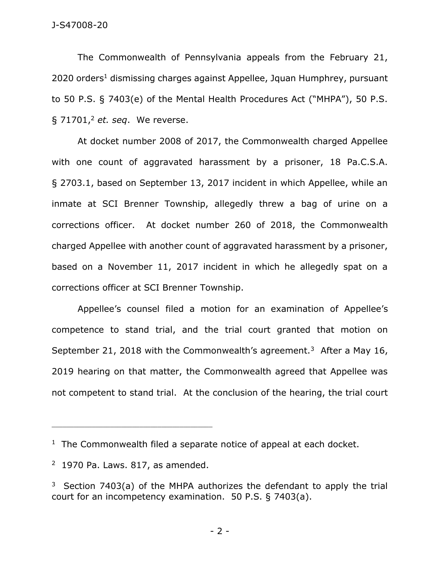## J-S47008-20

The Commonwealth of Pennsylvania appeals from the February 21, 2020 orders <sup>1</sup> dismissing charges against Appellee, Jquan Humphrey, pursuant to 50 P.S. § 7403(e) of the Mental Health Procedures Act ("MHPA"), 50 P.S. § 71701,<sup>2</sup> *et. seq*. We reverse.

At docket number 2008 of 2017, the Commonwealth charged Appellee with one count of aggravated harassment by a prisoner, 18 Pa.C.S.A. § 2703.1, based on September 13, 2017 incident in which Appellee, while an inmate at SCI Brenner Township, allegedly threw a bag of urine on a corrections officer. At docket number 260 of 2018, the Commonwealth charged Appellee with another count of aggravated harassment by a prisoner, based on a November 11, 2017 incident in which he allegedly spat on a corrections officer at SCI Brenner Township.

Appellee's counsel filed a motion for an examination of Appellee's competence to stand trial, and the trial court granted that motion on September 21, 2018 with the Commonwealth's agreement.<sup>3</sup> After a May 16, 2019 hearing on that matter, the Commonwealth agreed that Appellee was not competent to stand trial. At the conclusion of the hearing, the trial court

<sup>&</sup>lt;sup>1</sup> The Commonwealth filed a separate notice of appeal at each docket.

 $2$  1970 Pa. Laws. 817, as amended.

<sup>&</sup>lt;sup>3</sup> Section 7403(a) of the MHPA authorizes the defendant to apply the trial court for an incompetency examination. 50 P.S. § 7403(a).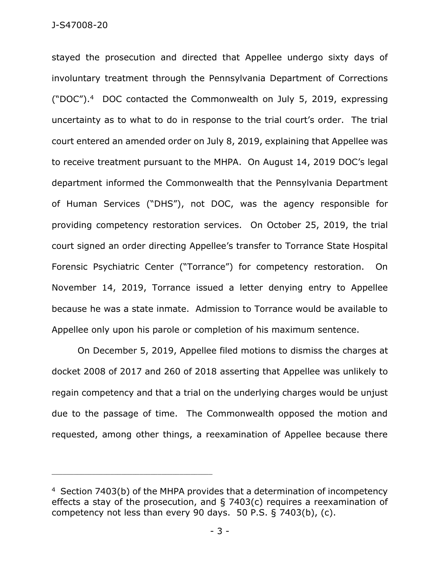stayed the prosecution and directed that Appellee undergo sixty days of involuntary treatment through the Pennsylvania Department of Corrections ("DOC").<sup>4</sup> DOC contacted the Commonwealth on July 5, 2019, expressing uncertainty as to what to do in response to the trial court's order. The trial court entered an amended order on July 8, 2019, explaining that Appellee was to receive treatment pursuant to the MHPA. On August 14, 2019 DOC's legal department informed the Commonwealth that the Pennsylvania Department of Human Services ("DHS"), not DOC, was the agency responsible for providing competency restoration services. On October 25, 2019, the trial court signed an order directing Appellee's transfer to Torrance State Hospital Forensic Psychiatric Center ("Torrance") for competency restoration. On November 14, 2019, Torrance issued a letter denying entry to Appellee because he was a state inmate. Admission to Torrance would be available to Appellee only upon his parole or completion of his maximum sentence.

On December 5, 2019, Appellee filed motions to dismiss the charges at docket 2008 of 2017 and 260 of 2018 asserting that Appellee was unlikely to regain competency and that a trial on the underlying charges would be unjust due to the passage of time. The Commonwealth opposed the motion and requested, among other things, a reexamination of Appellee because there

<sup>&</sup>lt;sup>4</sup> Section 7403(b) of the MHPA provides that a determination of incompetency effects a stay of the prosecution, and § 7403(c) requires a reexamination of competency not less than every 90 days. 50 P.S. § 7403(b), (c).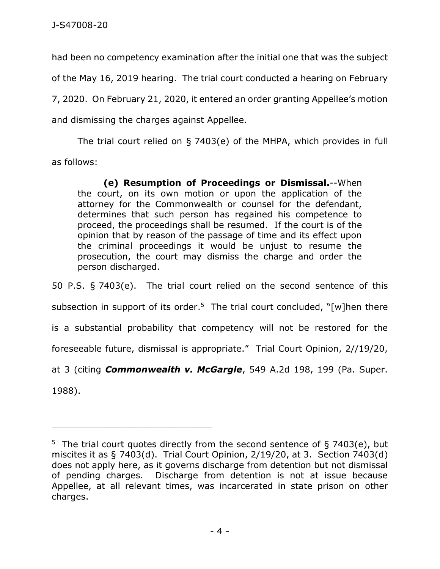had been no competency examination after the initial one that was the subject of the May 16, 2019 hearing. The trial court conducted a hearing on February 7, 2020. On February 21, 2020, it entered an order granting Appellee's motion and dismissing the charges against Appellee.

The trial court relied on § 7403(e) of the MHPA, which provides in full as follows:

**(e) Resumption of Proceedings or Dismissal.**--When the court, on its own motion or upon the application of the attorney for the Commonwealth or counsel for the defendant, determines that such person has regained his competence to proceed, the proceedings shall be resumed. If the court is of the opinion that by reason of the passage of time and its effect upon the criminal proceedings it would be unjust to resume the prosecution, the court may dismiss the charge and order the person discharged.

50 P.S. § 7403(e). The trial court relied on the second sentence of this subsection in support of its order.<sup>5</sup> The trial court concluded, "[w]hen there is a substantial probability that competency will not be restored for the foreseeable future, dismissal is appropriate." Trial Court Opinion, 2//19/20, at 3 (citing *Commonwealth v. McGargle*, 549 A.2d 198, 199 (Pa. Super. 1988).

<sup>&</sup>lt;sup>5</sup> The trial court quotes directly from the second sentence of § 7403(e), but miscites it as § 7403(d). Trial Court Opinion, 2/19/20, at 3. Section 7403(d) does not apply here, as it governs discharge from detention but not dismissal of pending charges. Discharge from detention is not at issue because Appellee, at all relevant times, was incarcerated in state prison on other charges.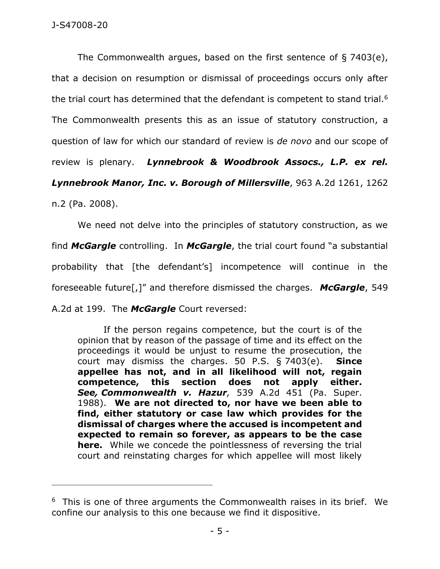The Commonwealth argues, based on the first sentence of § 7403(e), that a decision on resumption or dismissal of proceedings occurs only after the trial court has determined that the defendant is competent to stand trial.<sup>6</sup> The Commonwealth presents this as an issue of statutory construction, a question of law for which our standard of review is *de novo* and our scope of review is plenary. *Lynnebrook & Woodbrook Assocs., L.P. ex rel. Lynnebrook Manor, Inc. v. Borough of Millersville*, 963 A.2d 1261, 1262

n.2 (Pa. 2008).

We need not delve into the principles of statutory construction, as we find *McGargle* controlling. In *McGargle*, the trial court found "a substantial probability that [the defendant's] incompetence will continue in the foreseeable future[,]" and therefore dismissed the charges. *McGargle*, 549 A.2d at 199. The *McGargle* Court reversed:

If the person regains competence, but the court is of the opinion that by reason of the passage of time and its effect on the proceedings it would be unjust to resume the prosecution, the court may dismiss the charges. 50 P.S. § 7403(e). **Since appellee has not, and in all likelihood will not, regain competence, this section does not apply either.** *See, Commonwealth v. Hazur,* 539 A.2d 451 (Pa. Super. 1988). **We are not directed to, nor have we been able to find, either statutory or case law which provides for the dismissal of charges where the accused is incompetent and expected to remain so forever, as appears to be the case here.** While we concede the pointlessness of reversing the trial court and reinstating charges for which appellee will most likely

 $6$  This is one of three arguments the Commonwealth raises in its brief. We confine our analysis to this one because we find it dispositive.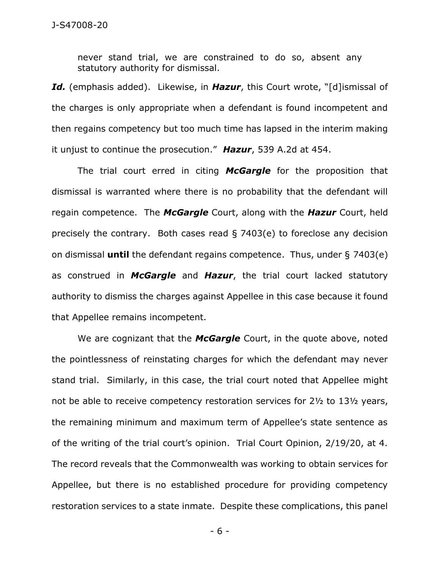never stand trial, we are constrained to do so, absent any statutory authority for dismissal.

*Id.* (emphasis added). Likewise, in *Hazur*, this Court wrote, "[d]ismissal of the charges is only appropriate when a defendant is found incompetent and then regains competency but too much time has lapsed in the interim making it unjust to continue the prosecution." *Hazur*, 539 A.2d at 454.

The trial court erred in citing *McGargle* for the proposition that dismissal is warranted where there is no probability that the defendant will regain competence. The *McGargle* Court, along with the *Hazur* Court, held precisely the contrary. Both cases read § 7403(e) to foreclose any decision on dismissal **until** the defendant regains competence. Thus, under § 7403(e) as construed in *McGargle* and *Hazur*, the trial court lacked statutory authority to dismiss the charges against Appellee in this case because it found that Appellee remains incompetent.

We are cognizant that the *McGargle* Court, in the quote above, noted the pointlessness of reinstating charges for which the defendant may never stand trial. Similarly, in this case, the trial court noted that Appellee might not be able to receive competency restoration services for 2½ to 13½ years, the remaining minimum and maximum term of Appellee's state sentence as of the writing of the trial court's opinion. Trial Court Opinion, 2/19/20, at 4. The record reveals that the Commonwealth was working to obtain services for Appellee, but there is no established procedure for providing competency restoration services to a state inmate. Despite these complications, this panel